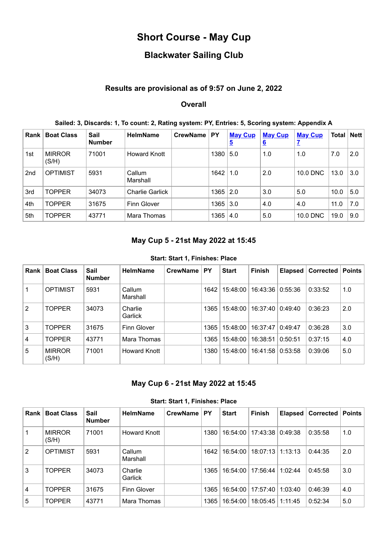## **Short Course - May Cup**

# **Blackwater Sailing Club**

## **Results are provisional as of 9:57 on June 2, 2022**

## **Overall**

| Rank            | <b>Boat Class</b>      | Sail<br><b>Number</b> | <b>HelmName</b>        | <b>CrewName</b> | <b>PY</b>    | <b>May Cup</b><br>$\overline{5}$ | <b>May Cup</b><br>6 | <b>May Cup</b> | Total   Nett |     |
|-----------------|------------------------|-----------------------|------------------------|-----------------|--------------|----------------------------------|---------------------|----------------|--------------|-----|
| 1st             | <b>MIRROR</b><br>(S/H) | 71001                 | <b>Howard Knott</b>    |                 | 1380         | 5.0                              | 1.0                 | 1.0            | 7.0          | 2.0 |
| 2 <sub>nd</sub> | <b>OPTIMIST</b>        | 5931                  | Callum<br>Marshall     |                 | 1642         | $\vert$ 1.0                      | 2.0                 | 10.0 DNC       | 13.0         | 3.0 |
| 3rd             | <b>TOPPER</b>          | 34073                 | <b>Charlie Garlick</b> |                 | $1365$   2.0 |                                  | 3.0                 | 5.0            | 10.0         | 5.0 |
| 4th             | <b>TOPPER</b>          | 31675                 | Finn Glover            |                 | 1365   3.0   |                                  | 4.0                 | 4.0            | 11.0         | 7.0 |
| 5th             | <b>TOPPER</b>          | 43771                 | Mara Thomas            |                 | 1365         | 4.0                              | 5.0                 | 10.0 DNC       | 19.0         | 9.0 |

#### **Sailed: 3, Discards: 1, To count: 2, Rating system: PY, Entries: 5, Scoring system: Appendix A**

## **May Cup 5 - 21st May 2022 at 15:45**

#### **Start: Start 1, Finishes: Place**

<span id="page-0-0"></span>

| Rank | <b>Boat Class</b>      | Sail<br><b>Number</b> | <b>HelmName</b>    | <b>CrewName</b> | PY   | <b>Start</b> | <b>Finish</b> | <b>Elapsed</b> | <b>Corrected</b> | <b>Points</b> |
|------|------------------------|-----------------------|--------------------|-----------------|------|--------------|---------------|----------------|------------------|---------------|
|      | <b>OPTIMIST</b>        | 5931                  | Callum<br>Marshall |                 | 1642 | 15:48:00     | 16:43:36      | 0:55:36        | 0:33:52          | 1.0           |
| 2    | <b>TOPPER</b>          | 34073                 | Charlie<br>Garlick |                 | 1365 | 15:48:00     | 16:37:40      | 0:49:40        | 0:36:23          | 2.0           |
| 3    | <b>TOPPER</b>          | 31675                 | <b>Finn Glover</b> |                 | 1365 | 15:48:00     | 16:37:47      | 0:49:47        | 0:36:28          | 3.0           |
| 4    | <b>TOPPER</b>          | 43771                 | Mara Thomas        |                 | 1365 | 15:48:00     | 16:38:51      | 0:50:51        | 0:37:15          | 4.0           |
| 5    | <b>MIRROR</b><br>(S/H) | 71001                 | Howard Knott       |                 | 1380 | 15:48:00     | 16:41:58      | 0:53:58        | 0:39:06          | 5.0           |

### **May Cup 6 - 21st May 2022 at 15:45**

|  |  |  | <b>Start: Start 1, Finishes: Place</b> |  |
|--|--|--|----------------------------------------|--|
|--|--|--|----------------------------------------|--|

<span id="page-0-1"></span>

| <b>Rank</b> | <b>Boat Class</b>      | Sail<br><b>Number</b> | <b>HelmName</b>    | <b>CrewName</b> | <b>PY</b> | <b>Start</b> | <b>Finish</b>    | Elapsed | Corrected | <b>Points</b> |
|-------------|------------------------|-----------------------|--------------------|-----------------|-----------|--------------|------------------|---------|-----------|---------------|
|             | <b>MIRROR</b><br>(S/H) | 71001                 | Howard Knott       |                 | 1380      | 16:54:00     | 17:43:38 ∣       | 0:49:38 | 0:35:58   | 1.0           |
| 2           | <b>OPTIMIST</b>        | 5931                  | Callum<br>Marshall |                 | 1642      | 16:54:00     | 18:07:13 1:13:13 |         | 0:44:35   | 2.0           |
| 3           | <b>TOPPER</b>          | 34073                 | Charlie<br>Garlick |                 | 1365      | 16:54:00     | 17:56:44         | 1:02:44 | 0:45:58   | 3.0           |
| 4           | <b>TOPPER</b>          | 31675                 | <b>Finn Glover</b> |                 | 1365      | 16:54:00     | 17:57:40         | 1:03:40 | 0:46:39   | 4.0           |
| 5           | <b>TOPPER</b>          | 43771                 | Mara Thomas        |                 | 1365      | 16:54:00     | 18:05:45         | 1:11:45 | 0:52:34   | 5.0           |